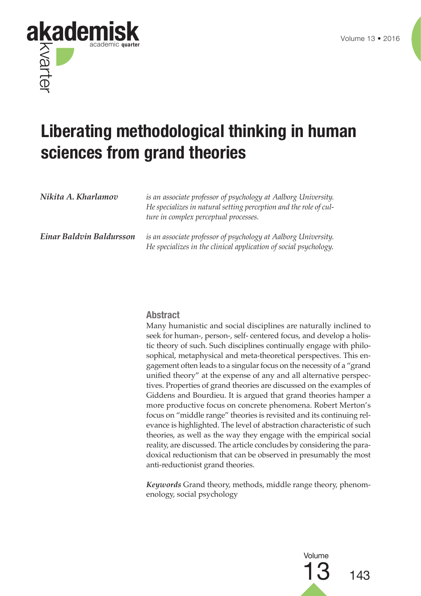



# **Liberating methodological thinking in human sciences from grand theories**

| Nikita A. Kharlamov      | is an associate professor of psychology at Aalborg University.<br>He specializes in natural setting perception and the role of cul-<br>ture in complex perceptual processes. |
|--------------------------|------------------------------------------------------------------------------------------------------------------------------------------------------------------------------|
| Einar Baldvin Baldursson | is an associate professor of psychology at Aalborg University.<br>He specializes in the clinical application of social psychology.                                           |

## **Abstract**

Many humanistic and social disciplines are naturally inclined to seek for human-, person-, self- centered focus, and develop a holistic theory of such. Such disciplines continually engage with philosophical, metaphysical and meta-theoretical perspectives. This engagement often leads to a singular focus on the necessity of a "grand unified theory" at the expense of any and all alternative perspectives. Properties of grand theories are discussed on the examples of Giddens and Bourdieu. It is argued that grand theories hamper a more productive focus on concrete phenomena. Robert Merton's focus on "middle range" theories is revisited and its continuing relevance is highlighted. The level of abstraction characteristic of such theories, as well as the way they engage with the empirical social reality, are discussed. The article concludes by considering the paradoxical reductionism that can be observed in presumably the most anti-reductionist grand theories.

*Keywords* Grand theory, methods, middle range theory, phenomenology, social psychology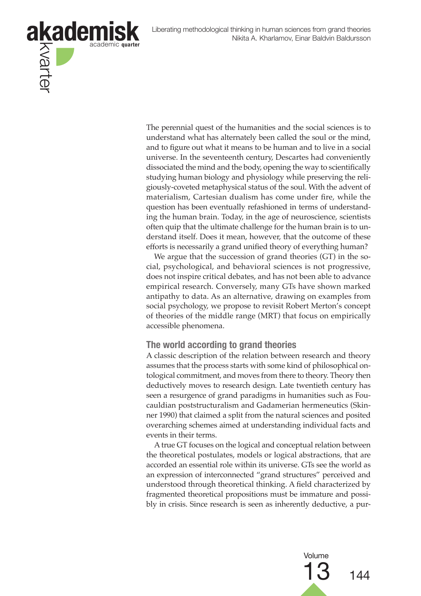

The perennial quest of the humanities and the social sciences is to understand what has alternately been called the soul or the mind, and to figure out what it means to be human and to live in a social universe. In the seventeenth century, Descartes had conveniently dissociated the mind and the body, opening the way to scientifically studying human biology and physiology while preserving the religiously-coveted metaphysical status of the soul. With the advent of materialism, Cartesian dualism has come under fire, while the question has been eventually refashioned in terms of understanding the human brain. Today, in the age of neuroscience, scientists often quip that the ultimate challenge for the human brain is to understand itself. Does it mean, however, that the outcome of these efforts is necessarily a grand unified theory of everything human?

We argue that the succession of grand theories (GT) in the social, psychological, and behavioral sciences is not progressive, does not inspire critical debates, and has not been able to advance empirical research. Conversely, many GTs have shown marked antipathy to data. As an alternative, drawing on examples from social psychology, we propose to revisit Robert Merton's concept of theories of the middle range (MRT) that focus on empirically accessible phenomena.

## **The world according to grand theories**

A classic description of the relation between research and theory assumes that the process starts with some kind of philosophical ontological commitment, and moves from there to theory. Theory then deductively moves to research design. Late twentieth century has seen a resurgence of grand paradigms in humanities such as Foucauldian poststructuralism and Gadamerian hermeneutics (Skinner 1990) that claimed a split from the natural sciences and posited overarching schemes aimed at understanding individual facts and events in their terms.

A true GT focuses on the logical and conceptual relation between the theoretical postulates, models or logical abstractions, that are accorded an essential role within its universe. GTs see the world as an expression of interconnected "grand structures" perceived and understood through theoretical thinking. A field characterized by fragmented theoretical propositions must be immature and possibly in crisis. Since research is seen as inherently deductive, a pur-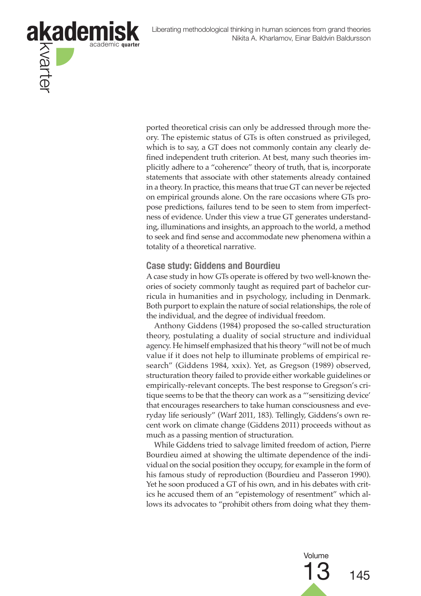

ported theoretical crisis can only be addressed through more theory. The epistemic status of GTs is often construed as privileged, which is to say, a GT does not commonly contain any clearly defined independent truth criterion. At best, many such theories implicitly adhere to a "coherence" theory of truth, that is, incorporate statements that associate with other statements already contained in a theory. In practice, this means that true GT can never be rejected on empirical grounds alone. On the rare occasions where GTs propose predictions, failures tend to be seen to stem from imperfectness of evidence. Under this view a true GT generates understanding, illuminations and insights, an approach to the world, a method to seek and find sense and accommodate new phenomena within a totality of a theoretical narrative.

## **Case study: Giddens and Bourdieu**

A case study in how GTs operate is offered by two well-known theories of society commonly taught as required part of bachelor curricula in humanities and in psychology, including in Denmark. Both purport to explain the nature of social relationships, the role of the individual, and the degree of individual freedom.

Anthony Giddens (1984) proposed the so-called structuration theory, postulating a duality of social structure and individual agency. He himself emphasized that his theory "will not be of much value if it does not help to illuminate problems of empirical research" (Giddens 1984, xxix). Yet, as Gregson (1989) observed, structuration theory failed to provide either workable guidelines or empirically-relevant concepts. The best response to Gregson's critique seems to be that the theory can work as a "'sensitizing device' that encourages researchers to take human consciousness and everyday life seriously" (Warf 2011, 183). Tellingly, Giddens's own recent work on climate change (Giddens 2011) proceeds without as much as a passing mention of structuration.

While Giddens tried to salvage limited freedom of action, Pierre Bourdieu aimed at showing the ultimate dependence of the individual on the social position they occupy, for example in the form of his famous study of reproduction (Bourdieu and Passeron 1990). Yet he soon produced a GT of his own, and in his debates with critics he accused them of an "epistemology of resentment" which allows its advocates to "prohibit others from doing what they them-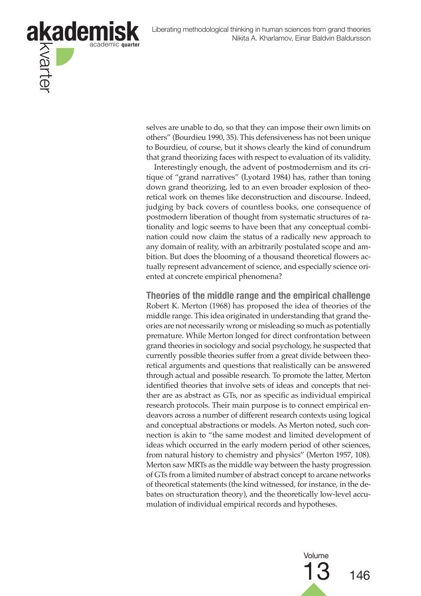

selves are unable to do, so that they can impose their own limits on others" (Bourdieu 1990, 35). This defensiveness has not been unique to Bourdieu, of course, but it shows clearly the kind of conundrum that grand theorizing faces with respect to evaluation of its validity.

Interestingly enough, the advent of postmodernism and its critique of "grand narratives" (Lyotard 1984) has, rather than toning down grand theorizing, led to an even broader explosion of theoretical work on themes like deconstruction and discourse. Indeed, judging by back covers of countless books, one consequence of postmodern liberation of thought from systematic structures of rationality and logic seems to have been that any conceptual combination could now claim the status of a radically new approach to any domain of reality, with an arbitrarily postulated scope and ambition. But does the blooming of a thousand theoretical flowers actually represent advancement of science, and especially science oriented at concrete empirical phenomena?

**Theories of the middle range and the empirical challenge** Robert K. Merton (1968) has proposed the idea of theories of the middle range. This idea originated in understanding that grand theories are not necessarily wrong or misleading so much as potentially premature. While Merton longed for direct confrontation between grand theories in sociology and social psychology, he suspected that currently possible theories suffer from a great divide between theoretical arguments and questions that realistically can be answered through actual and possible research. To promote the latter, Merton identified theories that involve sets of ideas and concepts that neither are as abstract as GTs, nor as specific as individual empirical research protocols. Their main purpose is to connect empirical endeavors across a number of different research contexts using logical and conceptual abstractions or models. As Merton noted, such connection is akin to "the same modest and limited development of ideas which occurred in the early modern period of other sciences, from natural history to chemistry and physics" (Merton 1957, 108). Merton saw MRTs as the middle way between the hasty progression of GTs from a limited number of abstract concept to arcane networks of theoretical statements (the kind witnessed, for instance, in the debates on structuration theory), and the theoretically low-level accumulation of individual empirical records and hypotheses.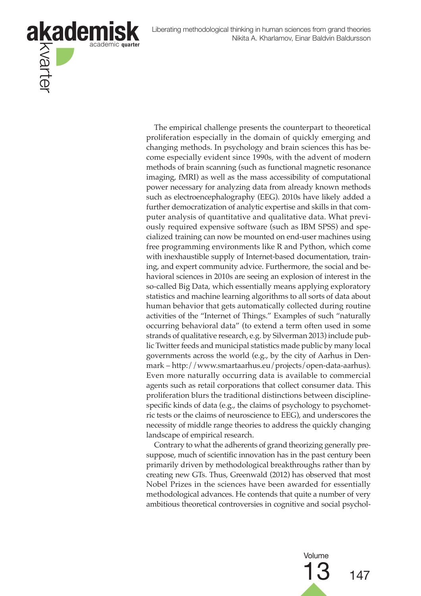Liberating methodological thinking in human sciences from grand theories Nikita A. Kharlamov, Einar Baldvin Baldursson



The empirical challenge presents the counterpart to theoretical proliferation especially in the domain of quickly emerging and changing methods. In psychology and brain sciences this has become especially evident since 1990s, with the advent of modern methods of brain scanning (such as functional magnetic resonance imaging, fMRI) as well as the mass accessibility of computational power necessary for analyzing data from already known methods such as electroencephalography (EEG). 2010s have likely added a further democratization of analytic expertise and skills in that computer analysis of quantitative and qualitative data. What previously required expensive software (such as IBM SPSS) and specialized training can now be mounted on end-user machines using free programming environments like R and Python, which come with inexhaustible supply of Internet-based documentation, training, and expert community advice. Furthermore, the social and behavioral sciences in 2010s are seeing an explosion of interest in the so-called Big Data, which essentially means applying exploratory statistics and machine learning algorithms to all sorts of data about human behavior that gets automatically collected during routine activities of the "Internet of Things." Examples of such "naturally occurring behavioral data" (to extend a term often used in some strands of qualitative research, e.g. by Silverman 2013) include public Twitter feeds and municipal statistics made public by many local governments across the world (e.g., by the city of Aarhus in Denmark – http://www.smartaarhus.eu/projects/open-data-aarhus). Even more naturally occurring data is available to commercial agents such as retail corporations that collect consumer data. This proliferation blurs the traditional distinctions between disciplinespecific kinds of data (e.g., the claims of psychology to psychometric tests or the claims of neuroscience to EEG), and underscores the necessity of middle range theories to address the quickly changing landscape of empirical research.

Contrary to what the adherents of grand theorizing generally presuppose, much of scientific innovation has in the past century been primarily driven by methodological breakthroughs rather than by creating new GTs. Thus, Greenwald (2012) has observed that most Nobel Prizes in the sciences have been awarded for essentially methodological advances. He contends that quite a number of very ambitious theoretical controversies in cognitive and social psychol-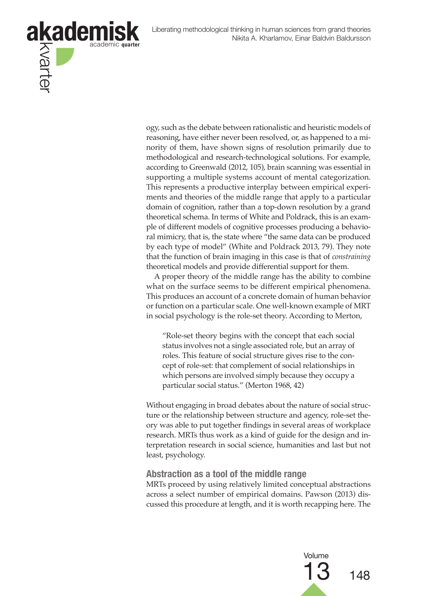

ogy, such as the debate between rationalistic and heuristic models of reasoning, have either never been resolved, or, as happened to a minority of them, have shown signs of resolution primarily due to methodological and research-technological solutions. For example, according to Greenwald (2012, 105), brain scanning was essential in supporting a multiple systems account of mental categorization. This represents a productive interplay between empirical experiments and theories of the middle range that apply to a particular domain of cognition, rather than a top-down resolution by a grand theoretical schema. In terms of White and Poldrack, this is an example of different models of cognitive processes producing a behavioral mimicry, that is, the state where "the same data can be produced by each type of model" (White and Poldrack 2013, 79). They note that the function of brain imaging in this case is that of *constraining* theoretical models and provide differential support for them.

A proper theory of the middle range has the ability to combine what on the surface seems to be different empirical phenomena. This produces an account of a concrete domain of human behavior or function on a particular scale. One well-known example of MRT in social psychology is the role-set theory. According to Merton,

"Role-set theory begins with the concept that each social status involves not a single associated role, but an array of roles. This feature of social structure gives rise to the concept of role-set: that complement of social relationships in which persons are involved simply because they occupy a particular social status." (Merton 1968, 42)

Without engaging in broad debates about the nature of social structure or the relationship between structure and agency, role-set theory was able to put together findings in several areas of workplace research. MRTs thus work as a kind of guide for the design and interpretation research in social science, humanities and last but not least, psychology.

#### **Abstraction as a tool of the middle range**

MRTs proceed by using relatively limited conceptual abstractions across a select number of empirical domains. Pawson (2013) discussed this procedure at length, and it is worth recapping here. The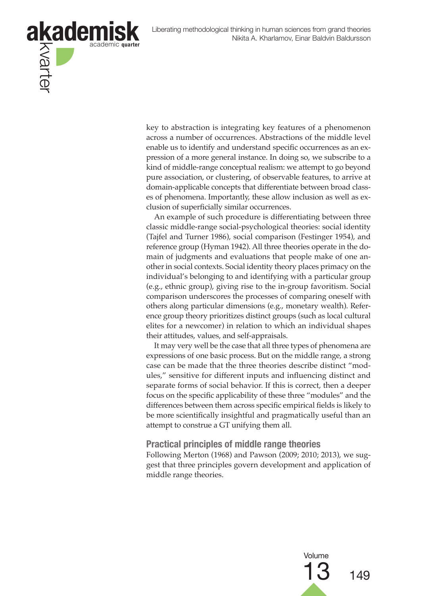

key to abstraction is integrating key features of a phenomenon across a number of occurrences. Abstractions of the middle level enable us to identify and understand specific occurrences as an expression of a more general instance. In doing so, we subscribe to a kind of middle-range conceptual realism: we attempt to go beyond pure association, or clustering, of observable features, to arrive at domain-applicable concepts that differentiate between broad classes of phenomena. Importantly, these allow inclusion as well as exclusion of superficially similar occurrences.

An example of such procedure is differentiating between three classic middle-range social-psychological theories: social identity (Tajfel and Turner 1986), social comparison (Festinger 1954), and reference group (Hyman 1942). All three theories operate in the domain of judgments and evaluations that people make of one another in social contexts. Social identity theory places primacy on the individual's belonging to and identifying with a particular group (e.g., ethnic group), giving rise to the in-group favoritism. Social comparison underscores the processes of comparing oneself with others along particular dimensions (e.g., monetary wealth). Reference group theory prioritizes distinct groups (such as local cultural elites for a newcomer) in relation to which an individual shapes their attitudes, values, and self-appraisals.

It may very well be the case that all three types of phenomena are expressions of one basic process. But on the middle range, a strong case can be made that the three theories describe distinct "modules," sensitive for different inputs and influencing distinct and separate forms of social behavior. If this is correct, then a deeper focus on the specific applicability of these three "modules" and the differences between them across specific empirical fields is likely to be more scientifically insightful and pragmatically useful than an attempt to construe a GT unifying them all.

#### **Practical principles of middle range theories**

Following Merton (1968) and Pawson (2009; 2010; 2013), we suggest that three principles govern development and application of middle range theories.

Volume

13 <sup>149</sup>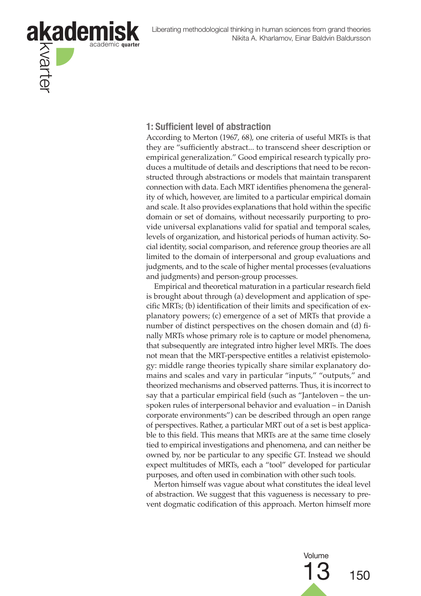

## **1: Sufficient level of abstraction**

According to Merton (1967, 68), one criteria of useful MRTs is that they are "sufficiently abstract... to transcend sheer description or empirical generalization." Good empirical research typically produces a multitude of details and descriptions that need to be reconstructed through abstractions or models that maintain transparent connection with data. Each MRT identifies phenomena the generality of which, however, are limited to a particular empirical domain and scale. It also provides explanations that hold within the specific domain or set of domains, without necessarily purporting to provide universal explanations valid for spatial and temporal scales, levels of organization, and historical periods of human activity. Social identity, social comparison, and reference group theories are all limited to the domain of interpersonal and group evaluations and judgments, and to the scale of higher mental processes (evaluations and judgments) and person-group processes.

Empirical and theoretical maturation in a particular research field is brought about through (a) development and application of specific MRTs; (b) identification of their limits and specification of explanatory powers; (c) emergence of a set of MRTs that provide a number of distinct perspectives on the chosen domain and (d) finally MRTs whose primary role is to capture or model phenomena, that subsequently are integrated intro higher level MRTs. The does not mean that the MRT-perspective entitles a relativist epistemology: middle range theories typically share similar explanatory domains and scales and vary in particular "inputs," "outputs," and theorized mechanisms and observed patterns. Thus, it is incorrect to say that a particular empirical field (such as "Janteloven – the unspoken rules of interpersonal behavior and evaluation – in Danish corporate environments") can be described through an open range of perspectives. Rather, a particular MRT out of a set is best applicable to this field. This means that MRTs are at the same time closely tied to empirical investigations and phenomena, and can neither be owned by, nor be particular to any specific GT. Instead we should expect multitudes of MRTs, each a "tool" developed for particular purposes, and often used in combination with other such tools.

Merton himself was vague about what constitutes the ideal level of abstraction. We suggest that this vagueness is necessary to prevent dogmatic codification of this approach. Merton himself more

> Volume  $150$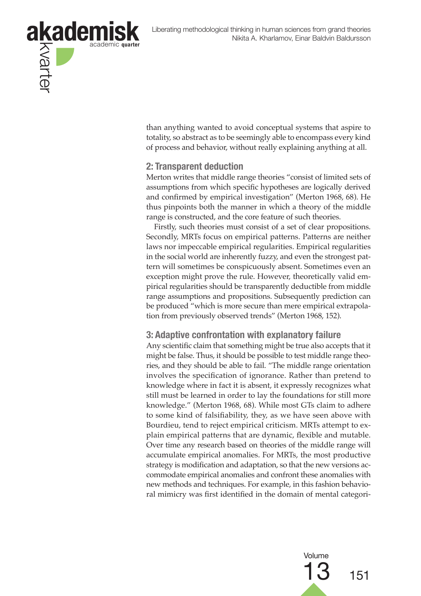

than anything wanted to avoid conceptual systems that aspire to totality, so abstract as to be seemingly able to encompass every kind of process and behavior, without really explaining anything at all.

## **2: Transparent deduction**

Merton writes that middle range theories "consist of limited sets of assumptions from which specific hypotheses are logically derived and confirmed by empirical investigation" (Merton 1968, 68). He thus pinpoints both the manner in which a theory of the middle range is constructed, and the core feature of such theories.

Firstly, such theories must consist of a set of clear propositions. Secondly, MRTs focus on empirical patterns. Patterns are neither laws nor impeccable empirical regularities. Empirical regularities in the social world are inherently fuzzy, and even the strongest pattern will sometimes be conspicuously absent. Sometimes even an exception might prove the rule. However, theoretically valid empirical regularities should be transparently deductible from middle range assumptions and propositions. Subsequently prediction can be produced "which is more secure than mere empirical extrapolation from previously observed trends" (Merton 1968, 152).

## **3: Adaptive confrontation with explanatory failure**

Any scientific claim that something might be true also accepts that it might be false. Thus, it should be possible to test middle range theories, and they should be able to fail. "The middle range orientation involves the specification of ignorance. Rather than pretend to knowledge where in fact it is absent, it expressly recognizes what still must be learned in order to lay the foundations for still more knowledge." (Merton 1968, 68). While most GTs claim to adhere to some kind of falsifiability, they, as we have seen above with Bourdieu, tend to reject empirical criticism. MRTs attempt to explain empirical patterns that are dynamic, flexible and mutable. Over time any research based on theories of the middle range will accumulate empirical anomalies. For MRTs, the most productive strategy is modification and adaptation, so that the new versions accommodate empirical anomalies and confront these anomalies with new methods and techniques. For example, in this fashion behavioral mimicry was first identified in the domain of mental categori-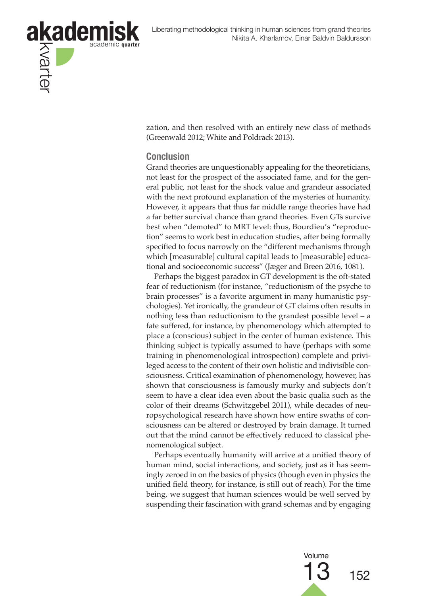

zation, and then resolved with an entirely new class of methods (Greenwald 2012; White and Poldrack 2013).

#### **Conclusion**

Grand theories are unquestionably appealing for the theoreticians, not least for the prospect of the associated fame, and for the general public, not least for the shock value and grandeur associated with the next profound explanation of the mysteries of humanity. However, it appears that thus far middle range theories have had a far better survival chance than grand theories. Even GTs survive best when "demoted" to MRT level: thus, Bourdieu's "reproduction" seems to work best in education studies, after being formally specified to focus narrowly on the "different mechanisms through which [measurable] cultural capital leads to [measurable] educational and socioeconomic success" (Jæger and Breen 2016, 1081).

Perhaps the biggest paradox in GT development is the oft-stated fear of reductionism (for instance, "reductionism of the psyche to brain processes" is a favorite argument in many humanistic psychologies). Yet ironically, the grandeur of GT claims often results in nothing less than reductionism to the grandest possible level – a fate suffered, for instance, by phenomenology which attempted to place a (conscious) subject in the center of human existence. This thinking subject is typically assumed to have (perhaps with some training in phenomenological introspection) complete and privileged access to the content of their own holistic and indivisible consciousness. Critical examination of phenomenology, however, has shown that consciousness is famously murky and subjects don't seem to have a clear idea even about the basic qualia such as the color of their dreams (Schwitzgebel 2011), while decades of neuropsychological research have shown how entire swaths of consciousness can be altered or destroyed by brain damage. It turned out that the mind cannot be effectively reduced to classical phenomenological subject.

Perhaps eventually humanity will arrive at a unified theory of human mind, social interactions, and society, just as it has seemingly zeroed in on the basics of physics (though even in physics the unified field theory, for instance, is still out of reach). For the time being, we suggest that human sciences would be well served by suspending their fascination with grand schemas and by engaging

> Volume 152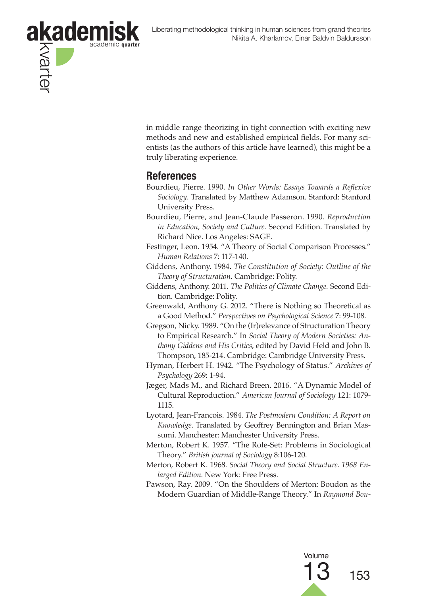

in middle range theorizing in tight connection with exciting new methods and new and established empirical fields. For many scientists (as the authors of this article have learned), this might be a truly liberating experience.

## **References**

- Bourdieu, Pierre. 1990. *In Other Words: Essays Towards a Reflexive Sociology*. Translated by Matthew Adamson. Stanford: Stanford University Press.
- Bourdieu, Pierre, and Jean-Claude Passeron. 1990. *Reproduction in Education, Society and Culture.* Second Edition. Translated by Richard Nice. Los Angeles: SAGE.
- Festinger, Leon. 1954. "A Theory of Social Comparison Processes." *Human Relations* 7: 117-140.
- Giddens, Anthony. 1984. *The Constitution of Society: Outline of the Theory of Structuration*. Cambridge: Polity.
- Giddens, Anthony. 2011. *The Politics of Climate Change.* Second Edition. Cambridge: Polity.
- Greenwald, Anthony G. 2012. "There is Nothing so Theoretical as a Good Method." *Perspectives on Psychological Science* 7: 99-108.
- Gregson, Nicky. 1989. "On the (Ir)relevance of Structuration Theory to Empirical Research." In *Social Theory of Modern Societies: Anthony Giddens and His Critics*, edited by David Held and John B. Thompson, 185-214. Cambridge: Cambridge University Press.
- Hyman, Herbert H. 1942. "The Psychology of Status." *Archives of Psychology* 269: 1-94.
- Jæger, Mads M., and Richard Breen. 2016. "A Dynamic Model of Cultural Reproduction." *American Journal of Sociology* 121: 1079- 1115.
- Lyotard, Jean-Francois. 1984. *The Postmodern Condition: A Report on Knowledge*. Translated by Geoffrey Bennington and Brian Massumi. Manchester: Manchester University Press.
- Merton, Robert K. 1957. "The Role-Set: Problems in Sociological Theory." *British journal of Sociology* 8:106-120.
- Merton, Robert K. 1968. *Social Theory and Social Structure. 1968 Enlarged Edition.* New York: Free Press.
- Pawson, Ray. 2009. "On the Shoulders of Merton: Boudon as the Modern Guardian of Middle-Range Theory." In *Raymond Bou-*

Volume 153